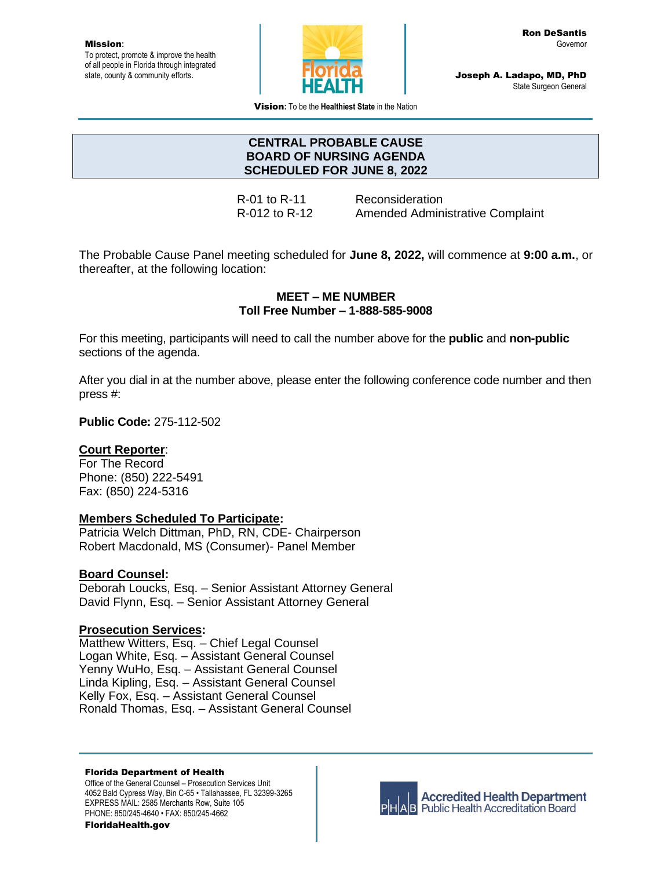Mission**:** To protect, promote & improve the health of all people in Florida through integrated state, county & community efforts.



Joseph A. Ladapo, MD, PhD State Surgeon General

Vision**:** To be the **Healthiest State** in the Nation

# **CENTRAL PROBABLE CAUSE BOARD OF NURSING AGENDA SCHEDULED FOR JUNE 8, 2022**

R-01 to R-11 Reconsideration R-012 to R-12 Amended Administrative Complaint

The Probable Cause Panel meeting scheduled for **June 8, 2022,** will commence at **9:00 a.m.**, or thereafter, at the following location:

### **MEET – ME NUMBER Toll Free Number – 1-888-585-9008**

For this meeting, participants will need to call the number above for the **public** and **non-public** sections of the agenda.

After you dial in at the number above, please enter the following conference code number and then press #:

**Public Code:** 275-112-502

# **Court Reporter**:

For The Record Phone: (850) 222-5491 Fax: (850) 224-5316

# **Members Scheduled To Participate:**

Patricia Welch Dittman, PhD, RN, CDE- Chairperson Robert Macdonald, MS (Consumer)- Panel Member

# **Board Counsel:**

Deborah Loucks, Esq. – Senior Assistant Attorney General David Flynn, Esq. – Senior Assistant Attorney General

# **Prosecution Services:**

Matthew Witters, Esq. – Chief Legal Counsel Logan White, Esq. – Assistant General Counsel Yenny WuHo, Esq. – Assistant General Counsel Linda Kipling, Esq. – Assistant General Counsel Kelly Fox, Esq. – Assistant General Counsel Ronald Thomas, Esq. – Assistant General Counsel

Florida Department of Health

Office of the General Counsel – Prosecution Services Unit 4052 Bald Cypress Way, Bin C-65 • Tallahassee, FL 32399-3265 EXPRESS MAIL: 2585 Merchants Row, Suite 105 PHONE: 850/245-4640 • FAX: 850/245-4662

FloridaHealth.gov



**Accredited Health Department AB** Public Health Accreditation Board